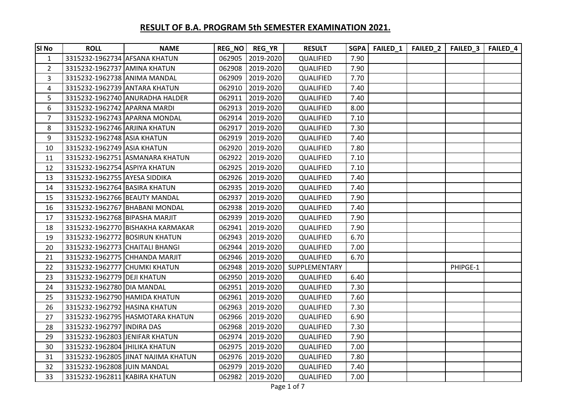| <b>SI No</b>   | <b>ROLL</b>                     | <b>NAME</b>                         |        | REG_NO   REG_YR  | <b>RESULT</b> | <b>SGPA</b> | FAILED_1 | <b>FAILED_2</b> | FAILED_3 | <b>FAILED_4</b> |
|----------------|---------------------------------|-------------------------------------|--------|------------------|---------------|-------------|----------|-----------------|----------|-----------------|
| $\mathbf{1}$   | 3315232-1962734 AFSANA KHATUN   |                                     |        | 062905 2019-2020 | QUALIFIED     | 7.90        |          |                 |          |                 |
| $\overline{2}$ | 3315232-1962737 AMINA KHATUN    |                                     |        | 062908 2019-2020 | QUALIFIED     | 7.90        |          |                 |          |                 |
| 3              | 3315232-1962738 ANIMA MANDAL    |                                     | 062909 | 2019-2020        | QUALIFIED     | 7.70        |          |                 |          |                 |
| 4              | 3315232-1962739 ANTARA KHATUN   |                                     | 062910 | 2019-2020        | QUALIFIED     | 7.40        |          |                 |          |                 |
| 5              |                                 | 3315232-1962740 ANURADHA HALDER     | 062911 | 2019-2020        | QUALIFIED     | 7.40        |          |                 |          |                 |
| 6              | 3315232-1962742 APARNA MARDI    |                                     | 062913 | 2019-2020        | QUALIFIED     | 8.00        |          |                 |          |                 |
| $\overline{7}$ | 3315232-1962743 APARNA MONDAL   |                                     | 062914 | 2019-2020        | QUALIFIED     | 7.10        |          |                 |          |                 |
| 8              | 3315232-1962746 ARJINA KHATUN   |                                     | 062917 | 2019-2020        | QUALIFIED     | 7.30        |          |                 |          |                 |
| 9              | 3315232-1962748 ASIA KHATUN     |                                     |        | 062919 2019-2020 | QUALIFIED     | 7.40        |          |                 |          |                 |
| 10             | 3315232-1962749 ASIA KHATUN     |                                     | 062920 | 2019-2020        | QUALIFIED     | 7.80        |          |                 |          |                 |
| 11             |                                 | 3315232-1962751 ASMANARA KHATUN     | 062922 | 2019-2020        | QUALIFIED     | 7.10        |          |                 |          |                 |
| 12             | 3315232-1962754 ASPIYA KHATUN   |                                     | 062925 | 2019-2020        | QUALIFIED     | 7.10        |          |                 |          |                 |
| 13             | 3315232-1962755 AYESA SIDDIKA   |                                     |        | 062926 2019-2020 | QUALIFIED     | 7.40        |          |                 |          |                 |
| 14             | 3315232-1962764 BASIRA KHATUN   |                                     |        | 062935 2019-2020 | QUALIFIED     | 7.40        |          |                 |          |                 |
| 15             | 3315232-1962766 BEAUTY MANDAL   |                                     | 062937 | 2019-2020        | QUALIFIED     | 7.90        |          |                 |          |                 |
| 16             |                                 | 3315232-1962767 BHABANI MONDAL      | 062938 | 2019-2020        | QUALIFIED     | 7.40        |          |                 |          |                 |
| 17             | 3315232-1962768 BIPASHA MARJIT  |                                     | 062939 | 2019-2020        | QUALIFIED     | 7.90        |          |                 |          |                 |
| 18             |                                 | 3315232-1962770 BISHAKHA KARMAKAR   | 062941 | 2019-2020        | QUALIFIED     | 7.90        |          |                 |          |                 |
| 19             | 3315232-1962772 BOSIRUN KHATUN  |                                     | 062943 | 2019-2020        | QUALIFIED     | 6.70        |          |                 |          |                 |
| 20             | 3315232-1962773 CHAITALI BHANGI |                                     | 062944 | 2019-2020        | QUALIFIED     | 7.00        |          |                 |          |                 |
| 21             |                                 | 3315232-1962775 CHHANDA MARJIT      |        | 062946 2019-2020 | QUALIFIED     | 6.70        |          |                 |          |                 |
| 22             | 3315232-1962777 CHUMKI KHATUN   |                                     | 062948 | 2019-2020        | SUPPLEMENTARY |             |          |                 | PHIPGE-1 |                 |
| 23             | 3315232-1962779 DEJI KHATUN     |                                     | 062950 | 2019-2020        | QUALIFIED     | 6.40        |          |                 |          |                 |
| 24             | 3315232-1962780 DIA MANDAL      |                                     | 062951 | 2019-2020        | QUALIFIED     | 7.30        |          |                 |          |                 |
| 25             | 3315232-1962790 HAMIDA KHATUN   |                                     | 062961 | 2019-2020        | QUALIFIED     | 7.60        |          |                 |          |                 |
| 26             | 3315232-1962792 HASINA KHATUN   |                                     | 062963 | 2019-2020        | QUALIFIED     | 7.30        |          |                 |          |                 |
| 27             |                                 | 3315232-1962795 HASMOTARA KHATUN    | 062966 | 2019-2020        | QUALIFIED     | 6.90        |          |                 |          |                 |
| 28             | 3315232-1962797 INDIRA DAS      |                                     | 062968 | 2019-2020        | QUALIFIED     | 7.30        |          |                 |          |                 |
| 29             | 3315232-1962803 JENIFAR KHATUN  |                                     | 062974 | 2019-2020        | QUALIFIED     | 7.90        |          |                 |          |                 |
| 30             | 3315232-1962804 JHILIKA KHATUN  |                                     | 062975 | 2019-2020        | QUALIFIED     | 7.00        |          |                 |          |                 |
| 31             |                                 | 3315232-1962805 JINAT NAJIMA KHATUN |        | 062976 2019-2020 | QUALIFIED     | 7.80        |          |                 |          |                 |
| 32             | 3315232-1962808 JUIN MANDAL     |                                     | 062979 | 2019-2020        | QUALIFIED     | 7.40        |          |                 |          |                 |
| 33             | 3315232-1962811 KABIRA KHATUN   |                                     |        | 062982 2019-2020 | QUALIFIED     | 7.00        |          |                 |          |                 |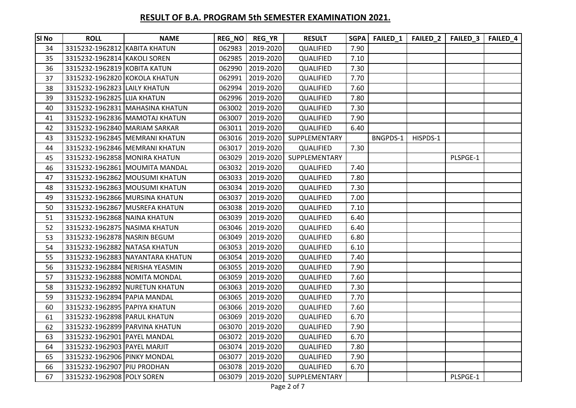| SI No | <b>ROLL</b>                    | <b>NAME</b>                      |        | REG_NO   REG_YR  | <b>RESULT</b>                  |      |          |          | SGPA   FAILED_1   FAILED_2   FAILED_3 | <b>FAILED_4</b> |
|-------|--------------------------------|----------------------------------|--------|------------------|--------------------------------|------|----------|----------|---------------------------------------|-----------------|
| 34    | 3315232-1962812 KABITA KHATUN  |                                  | 062983 | 2019-2020        | QUALIFIED                      | 7.90 |          |          |                                       |                 |
| 35    | 3315232-1962814 KAKOLI SOREN   |                                  |        | 062985 2019-2020 | QUALIFIED                      | 7.10 |          |          |                                       |                 |
| 36    | 3315232-1962819 KOBITA KATUN   |                                  | 062990 | 2019-2020        | QUALIFIED                      | 7.30 |          |          |                                       |                 |
| 37    | 3315232-1962820 KOKOLA KHATUN  |                                  | 062991 | 2019-2020        | QUALIFIED                      | 7.70 |          |          |                                       |                 |
| 38    | 3315232-1962823 LAILY KHATUN   |                                  | 062994 | 2019-2020        | QUALIFIED                      | 7.60 |          |          |                                       |                 |
| 39    | 3315232-1962825 LIJA KHATUN    |                                  |        | 062996 2019-2020 | QUALIFIED                      | 7.80 |          |          |                                       |                 |
| 40    |                                | 3315232-1962831 MAHASINA KHATUN  | 063002 | 2019-2020        | QUALIFIED                      | 7.30 |          |          |                                       |                 |
| 41    |                                | 3315232-1962836 MAMOTAJ KHATUN   | 063007 | 2019-2020        | QUALIFIED                      | 7.90 |          |          |                                       |                 |
| 42    | 3315232-1962840 MARIAM SARKAR  |                                  | 063011 | 2019-2020        | QUALIFIED                      | 6.40 |          |          |                                       |                 |
| 43    |                                | 3315232-1962845 MEMRANI KHATUN   |        | 063016 2019-2020 | SUPPLEMENTARY                  |      | BNGPDS-1 | HISPDS-1 |                                       |                 |
| 44    |                                | 3315232-1962846 MEMRANI KHATUN   | 063017 | 2019-2020        | QUALIFIED                      | 7.30 |          |          |                                       |                 |
| 45    | 3315232-1962858 MONIRA KHATUN  |                                  | 063029 | 2019-2020        | SUPPLEMENTARY                  |      |          |          | PLSPGE-1                              |                 |
| 46    |                                | 3315232-1962861 MOUMITA MANDAL   |        | 063032 2019-2020 | QUALIFIED                      | 7.40 |          |          |                                       |                 |
| 47    |                                | 3315232-1962862 MOUSUMI KHATUN   | 063033 | 2019-2020        | QUALIFIED                      | 7.80 |          |          |                                       |                 |
| 48    |                                | 3315232-1962863 MOUSUMI KHATUN   |        | 063034 2019-2020 | QUALIFIED                      | 7.30 |          |          |                                       |                 |
| 49    |                                | 3315232-1962866 MURSINA KHATUN   | 063037 | 2019-2020        | QUALIFIED                      | 7.00 |          |          |                                       |                 |
| 50    |                                | 3315232-1962867 MUSREFA KHATUN   |        | 063038 2019-2020 | QUALIFIED                      | 7.10 |          |          |                                       |                 |
| 51    | 3315232-1962868 NAINA KHATUN   |                                  | 063039 | 2019-2020        | QUALIFIED                      | 6.40 |          |          |                                       |                 |
| 52    | 3315232-1962875 NASIMA KHATUN  |                                  | 063046 | 2019-2020        | QUALIFIED                      | 6.40 |          |          |                                       |                 |
| 53    | 3315232-1962878 NASRIN BEGUM   |                                  | 063049 | 2019-2020        | QUALIFIED                      | 6.80 |          |          |                                       |                 |
| 54    | 3315232-1962882 NATASA KHATUN  |                                  | 063053 | 2019-2020        | QUALIFIED                      | 6.10 |          |          |                                       |                 |
| 55    |                                | 3315232-1962883 NAYANTARA KHATUN | 063054 | 2019-2020        | QUALIFIED                      | 7.40 |          |          |                                       |                 |
| 56    |                                | 3315232-1962884 NERISHA YEASMIN  | 063055 | 2019-2020        | QUALIFIED                      | 7.90 |          |          |                                       |                 |
| 57    | 3315232-1962888 NOMITA MONDAL  |                                  | 063059 | 2019-2020        | QUALIFIED                      | 7.60 |          |          |                                       |                 |
| 58    |                                | 3315232-1962892 NURETUN KHATUN   | 063063 | 2019-2020        | QUALIFIED                      | 7.30 |          |          |                                       |                 |
| 59    | 3315232-1962894 PAPIA MANDAL   |                                  | 063065 | 2019-2020        | QUALIFIED                      | 7.70 |          |          |                                       |                 |
| 60    | 3315232-1962895 PAPIYA KHATUN  |                                  | 063066 | 2019-2020        | QUALIFIED                      | 7.60 |          |          |                                       |                 |
| 61    | 3315232-1962898 PARUL KHATUN   |                                  | 063069 | 2019-2020        | QUALIFIED                      | 6.70 |          |          |                                       |                 |
| 62    | 3315232-1962899 PARVINA KHATUN |                                  | 063070 | 2019-2020        | QUALIFIED                      | 7.90 |          |          |                                       |                 |
| 63    | 3315232-1962901 PAYEL MANDAL   |                                  | 063072 | 2019-2020        | QUALIFIED                      | 6.70 |          |          |                                       |                 |
| 64    | 3315232-1962903 PAYEL MARJIT   |                                  | 063074 | 2019-2020        | QUALIFIED                      | 7.80 |          |          |                                       |                 |
| 65    | 3315232-1962906 PINKY MONDAL   |                                  | 063077 | 2019-2020        | QUALIFIED                      | 7.90 |          |          |                                       |                 |
| 66    | 3315232-1962907 PIU PRODHAN    |                                  | 063078 | 2019-2020        | QUALIFIED                      | 6.70 |          |          |                                       |                 |
| 67    | 3315232-1962908 POLY SOREN     |                                  |        |                  | 063079 2019-2020 SUPPLEMENTARY |      |          |          | PLSPGE-1                              |                 |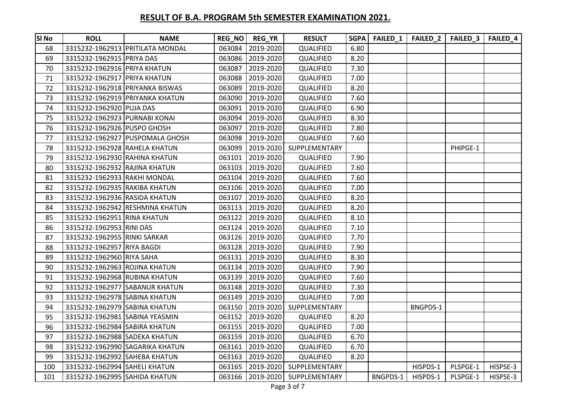| SI <sub>No</sub> | <b>ROLL</b>                    | <b>NAME</b>                      |        | REG_NO   REG_YR  | <b>RESULT</b>    | <b>SGPA</b> | FAILED <sub>1</sub> |          | FAILED_2   FAILED_3 | FAILED <sub>4</sub> |
|------------------|--------------------------------|----------------------------------|--------|------------------|------------------|-------------|---------------------|----------|---------------------|---------------------|
| 68               |                                | 3315232-1962913 PRITILATA MONDAL | 063084 | 2019-2020        | QUALIFIED        | 6.80        |                     |          |                     |                     |
| 69               | 3315232-1962915 PRIYA DAS      |                                  | 063086 | 2019-2020        | QUALIFIED        | 8.20        |                     |          |                     |                     |
| 70               | 3315232-1962916 PRIYA KHATUN   |                                  | 063087 | 2019-2020        | QUALIFIED        | 7.30        |                     |          |                     |                     |
| 71               | 3315232-1962917 PRIYA KHATUN   |                                  | 063088 | 2019-2020        | QUALIFIED        | 7.00        |                     |          |                     |                     |
| 72               |                                | 3315232-1962918 PRIYANKA BISWAS  | 063089 | 2019-2020        | QUALIFIED        | 8.20        |                     |          |                     |                     |
| 73               |                                | 3315232-1962919 PRIYANKA KHATUN  | 063090 | 2019-2020        | QUALIFIED        | 7.60        |                     |          |                     |                     |
| 74               | 3315232-1962920 PUJA DAS       |                                  | 063091 | 2019-2020        | QUALIFIED        | 6.90        |                     |          |                     |                     |
| 75               | 3315232-1962923 PURNABI KONAI  |                                  | 063094 | 2019-2020        | <b>QUALIFIED</b> | 8.30        |                     |          |                     |                     |
| 76               | 3315232-1962926 PUSPO GHOSH    |                                  | 063097 | 2019-2020        | QUALIFIED        | 7.80        |                     |          |                     |                     |
| 77               |                                | 3315232-1962927 PUSPOMALA GHOSH  | 063098 | 2019-2020        | QUALIFIED        | 7.60        |                     |          |                     |                     |
| 78               | 3315232-1962928 RAHELA KHATUN  |                                  | 063099 | 2019-2020        | SUPPLEMENTARY    |             |                     |          | PHIPGE-1            |                     |
| 79               | 3315232-1962930 RAHINA KHATUN  |                                  | 063101 | 2019-2020        | QUALIFIED        | 7.90        |                     |          |                     |                     |
| 80               | 3315232-1962932 RAJINA KHATUN  |                                  | 063103 | 2019-2020        | QUALIFIED        | 7.60        |                     |          |                     |                     |
| 81               | 3315232-1962933 RAKHI MONDAL   |                                  | 063104 | 2019-2020        | QUALIFIED        | 7.60        |                     |          |                     |                     |
| 82               | 3315232-1962935 RAKIBA KHATUN  |                                  | 063106 | 2019-2020        | QUALIFIED        | 7.00        |                     |          |                     |                     |
| 83               | 3315232-1962936 RASIDA KHATUN  |                                  | 063107 | 2019-2020        | <b>QUALIFIED</b> | 8.20        |                     |          |                     |                     |
| 84               |                                | 3315232-1962942 RESHMINA KHATUN  | 063113 | 2019-2020        | QUALIFIED        | 8.20        |                     |          |                     |                     |
| 85               | 3315232-1962951 RINA KHATUN    |                                  | 063122 | 2019-2020        | QUALIFIED        | 8.10        |                     |          |                     |                     |
| 86               | 3315232-1962953 RINI DAS       |                                  | 063124 | 2019-2020        | QUALIFIED        | 7.10        |                     |          |                     |                     |
| 87               | 3315232-1962955 RINKI SARKAR   |                                  | 063126 | 2019-2020        | QUALIFIED        | 7.70        |                     |          |                     |                     |
| 88               | 3315232-1962957 RIYA BAGDI     |                                  | 063128 | 2019-2020        | QUALIFIED        | 7.90        |                     |          |                     |                     |
| 89               | 3315232-1962960 RIYA SAHA      |                                  | 063131 | 2019-2020        | QUALIFIED        | 8.30        |                     |          |                     |                     |
| 90               | 3315232-1962963 ROJINA KHATUN  |                                  | 063134 | 2019-2020        | QUALIFIED        | 7.90        |                     |          |                     |                     |
| 91               | 3315232-1962968 RUBINA KHATUN  |                                  | 063139 | 2019-2020        | QUALIFIED        | 7.60        |                     |          |                     |                     |
| 92               |                                | 3315232-1962977 SABANUR KHATUN   | 063148 | 2019-2020        | QUALIFIED        | 7.30        |                     |          |                     |                     |
| 93               | 3315232-1962978 SABINA KHATUN  |                                  | 063149 | 2019-2020        | QUALIFIED        | 7.00        |                     |          |                     |                     |
| 94               | 3315232-1962979 SABINA KHATUN  |                                  | 063150 | 2019-2020        | SUPPLEMENTARY    |             |                     | BNGPDS-1 |                     |                     |
| 95               | 3315232-1962981 SABINA YEASMIN |                                  | 063152 | 2019-2020        | QUALIFIED        | 8.20        |                     |          |                     |                     |
| 96               | 3315232-1962984 SABIRA KHATUN  |                                  | 063155 | 2019-2020        | QUALIFIED        | 7.00        |                     |          |                     |                     |
| 97               | 3315232-1962988 SADEKA KHATUN  |                                  | 063159 | 2019-2020        | QUALIFIED        | 6.70        |                     |          |                     |                     |
| 98               |                                | 3315232-1962990 SAGARIKA KHATUN  | 063161 | 2019-2020        | QUALIFIED        | 6.70        |                     |          |                     |                     |
| 99               | 3315232-1962992 SAHEBA KHATUN  |                                  | 063163 | 2019-2020        | QUALIFIED        | 8.20        |                     |          |                     |                     |
| 100              | 3315232-1962994 SAHELI KHATUN  |                                  | 063165 | 2019-2020        | SUPPLEMENTARY    |             |                     | HISPDS-1 | PLSPGE-1            | HISPSE-3            |
| 101              | 3315232-1962995 SAHIDA KHATUN  |                                  |        | 063166 2019-2020 | SUPPLEMENTARY    |             | BNGPDS-1            | HISPDS-1 | PLSPGE-1            | HISPSE-3            |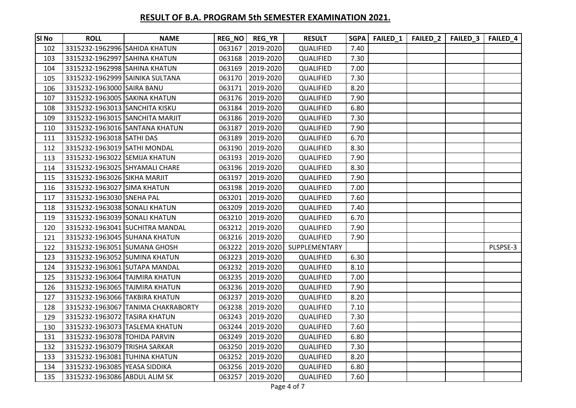| <b>SI No</b> | <b>ROLL</b>                     | <b>NAME</b>                        |        | REG_NO   REG_YR  | <b>RESULT</b> | <b>SGPA</b> | FAILED_1   FAILED_2   FAILED_3 | <b>FAILED 4</b> |
|--------------|---------------------------------|------------------------------------|--------|------------------|---------------|-------------|--------------------------------|-----------------|
| 102          | 3315232-1962996 SAHIDA KHATUN   |                                    |        | 063167 2019-2020 | QUALIFIED     | 7.40        |                                |                 |
| 103          | 3315232-1962997 SAHINA KHATUN   |                                    |        | 063168 2019-2020 | QUALIFIED     | 7.30        |                                |                 |
| 104          | 3315232-1962998 SAHINA KHATUN   |                                    |        | 063169 2019-2020 | QUALIFIED     | 7.00        |                                |                 |
| 105          | 3315232-1962999 SAINIKA SULTANA |                                    |        | 063170 2019-2020 | QUALIFIED     | 7.30        |                                |                 |
| 106          | 3315232-1963000 SAIRA BANU      |                                    | 063171 | 2019-2020        | QUALIFIED     | 8.20        |                                |                 |
| 107          | 3315232-1963005 SAKINA KHATUN   |                                    | 063176 | 2019-2020        | QUALIFIED     | 7.90        |                                |                 |
| 108          | 3315232-1963013 SANCHITA KISKU  |                                    | 063184 | 2019-2020        | QUALIFIED     | 6.80        |                                |                 |
| 109          |                                 | 3315232-1963015 SANCHITA MARJIT    | 063186 | 2019-2020        | QUALIFIED     | 7.30        |                                |                 |
| 110          |                                 | 3315232-1963016 SANTANA KHATUN     | 063187 | 2019-2020        | QUALIFIED     | 7.90        |                                |                 |
| 111          | 3315232-1963018 SATHI DAS       |                                    | 063189 | 2019-2020        | QUALIFIED     | 6.70        |                                |                 |
| 112          | 3315232-1963019 SATHI MONDAL    |                                    | 063190 | 2019-2020        | QUALIFIED     | 8.30        |                                |                 |
| 113          | 3315232-1963022 SEMIJA KHATUN   |                                    | 063193 | 2019-2020        | QUALIFIED     | 7.90        |                                |                 |
| 114          | 3315232-1963025 SHYAMALI CHARE  |                                    |        | 063196 2019-2020 | QUALIFIED     | 8.30        |                                |                 |
| 115          | 3315232-1963026 SIKHA MARJIT    |                                    | 063197 | 2019-2020        | QUALIFIED     | 7.90        |                                |                 |
| 116          | 3315232-1963027 SIMA KHATUN     |                                    |        | 063198 2019-2020 | QUALIFIED     | 7.00        |                                |                 |
| 117          | 3315232-1963030 SNEHA PAL       |                                    | 063201 | 2019-2020        | QUALIFIED     | 7.60        |                                |                 |
| 118          | 3315232-1963038 SONALI KHATUN   |                                    |        | 063209 2019-2020 | QUALIFIED     | 7.40        |                                |                 |
| 119          | 3315232-1963039 SONALI KHATUN   |                                    | 063210 | 2019-2020        | QUALIFIED     | 6.70        |                                |                 |
| 120          |                                 | 3315232-1963041 SUCHITRA MANDAL    |        | 063212 2019-2020 | QUALIFIED     | 7.90        |                                |                 |
| 121          | 3315232-1963045 SUHANA KHATUN   |                                    | 063216 | 2019-2020        | QUALIFIED     | 7.90        |                                |                 |
| 122          | 3315232-1963051 SUMANA GHOSH    |                                    | 063222 | 2019-2020        | SUPPLEMENTARY |             |                                | PLSPSE-3        |
| 123          | 3315232-1963052 SUMINA KHATUN   |                                    | 063223 | 2019-2020        | QUALIFIED     | 6.30        |                                |                 |
| 124          | 3315232-1963061 SUTAPA MANDAL   |                                    | 063232 | 2019-2020        | QUALIFIED     | 8.10        |                                |                 |
| 125          | 3315232-1963064 TAJMIRA KHATUN  |                                    | 063235 | 2019-2020        | QUALIFIED     | 7.00        |                                |                 |
| 126          | 3315232-1963065 TAJMIRA KHATUN  |                                    |        | 063236 2019-2020 | QUALIFIED     | 7.90        |                                |                 |
| 127          | 3315232-1963066 TAKBIRA KHATUN  |                                    | 063237 | 2019-2020        | QUALIFIED     | 8.20        |                                |                 |
| 128          |                                 | 3315232-1963067 TANIMA CHAKRABORTY |        | 063238 2019-2020 | QUALIFIED     | 7.10        |                                |                 |
| 129          | 3315232-1963072 TASIRA KHATUN   |                                    | 063243 | 2019-2020        | QUALIFIED     | 7.30        |                                |                 |
| 130          |                                 | 3315232-1963073 TASLEMA KHATUN     | 063244 | 2019-2020        | QUALIFIED     | 7.60        |                                |                 |
| 131          | 3315232-1963078 TOHIDA PARVIN   |                                    | 063249 | 2019-2020        | QUALIFIED     | 6.80        |                                |                 |
| 132          | 3315232-1963079 TRISHA SARKAR   |                                    | 063250 | 2019-2020        | QUALIFIED     | 7.30        |                                |                 |
| 133          | 3315232-1963081 TUHINA KHATUN   |                                    | 063252 | 2019-2020        | QUALIFIED     | 8.20        |                                |                 |
| 134          | 3315232-1963085 YEASA SIDDIKA   |                                    |        | 063256 2019-2020 | QUALIFIED     | 6.80        |                                |                 |
| 135          | 3315232-1963086 ABDUL ALIM SK   |                                    | 063257 | 2019-2020        | QUALIFIED     | 7.60        |                                |                 |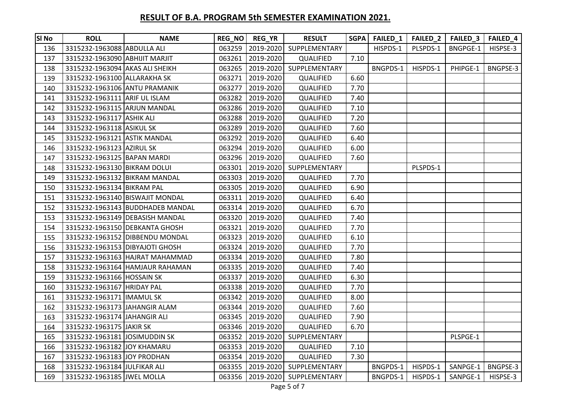| <b>SI No</b> | <b>ROLL</b>                     | <b>NAME</b>                      |        | REG_NO   REG_YR  | <b>RESULT</b> | SGPA | FAILED <sub>1</sub> | FAILED_2 | FAILED_3 | FAILED <sub>4</sub> |
|--------------|---------------------------------|----------------------------------|--------|------------------|---------------|------|---------------------|----------|----------|---------------------|
| 136          | 3315232-1963088 ABDULLA ALI     |                                  | 063259 | 2019-2020        | SUPPLEMENTARY |      | HISPDS-1            | PLSPDS-1 | BNGPGE-1 | HISPSE-3            |
| 137          | 3315232-1963090 ABHIJIT MARJIT  |                                  | 063261 | 2019-2020        | QUALIFIED     | 7.10 |                     |          |          |                     |
| 138          | 3315232-1963094 AKAS ALI SHEIKH |                                  | 063265 | 2019-2020        | SUPPLEMENTARY |      | BNGPDS-1            | HISPDS-1 | PHIPGE-1 | BNGPSE-3            |
| 139          | 3315232-1963100 ALLARAKHA SK    |                                  | 063271 | 2019-2020        | QUALIFIED     | 6.60 |                     |          |          |                     |
| 140          | 3315232-1963106 ANTU PRAMANIK   |                                  | 063277 | 2019-2020        | QUALIFIED     | 7.70 |                     |          |          |                     |
| 141          | 3315232-1963111 ARIF UL ISLAM   |                                  | 063282 | 2019-2020        | QUALIFIED     | 7.40 |                     |          |          |                     |
| 142          | 3315232-1963115 ARJUN MANDAL    |                                  | 063286 | 2019-2020        | QUALIFIED     | 7.10 |                     |          |          |                     |
| 143          | 3315232-1963117 ASHIK ALI       |                                  | 063288 | 2019-2020        | QUALIFIED     | 7.20 |                     |          |          |                     |
| 144          | 3315232-1963118 ASIKUL SK       |                                  | 063289 | 2019-2020        | QUALIFIED     | 7.60 |                     |          |          |                     |
| 145          | 3315232-1963121 ASTIK MANDAL    |                                  | 063292 | 2019-2020        | QUALIFIED     | 6.40 |                     |          |          |                     |
| 146          | 3315232-1963123 AZIRUL SK       |                                  | 063294 | 2019-2020        | QUALIFIED     | 6.00 |                     |          |          |                     |
| 147          | 3315232-1963125 BAPAN MARDI     |                                  | 063296 | 2019-2020        | QUALIFIED     | 7.60 |                     |          |          |                     |
| 148          | 3315232-1963130 BIKRAM DOLUI    |                                  | 063301 | 2019-2020        | SUPPLEMENTARY |      |                     | PLSPDS-1 |          |                     |
| 149          | 3315232-1963132 BIKRAM MANDAL   |                                  | 063303 | 2019-2020        | QUALIFIED     | 7.70 |                     |          |          |                     |
| 150          | 3315232-1963134 BIKRAM PAL      |                                  | 063305 | 2019-2020        | QUALIFIED     | 6.90 |                     |          |          |                     |
| 151          |                                 | 3315232-1963140 BISWAJIT MONDAL  | 063311 | 2019-2020        | QUALIFIED     | 6.40 |                     |          |          |                     |
| 152          |                                 | 3315232-1963143 BUDDHADEB MANDAL |        | 063314 2019-2020 | QUALIFIED     | 6.70 |                     |          |          |                     |
| 153          |                                 | 3315232-1963149 DEBASISH MANDAL  | 063320 | 2019-2020        | QUALIFIED     | 7.40 |                     |          |          |                     |
| 154          |                                 | 3315232-1963150 DEBKANTA GHOSH   | 063321 | 2019-2020        | QUALIFIED     | 7.70 |                     |          |          |                     |
| 155          |                                 | 3315232-1963152 DIBBENDU MONDAL  |        | 063323 2019-2020 | QUALIFIED     | 6.10 |                     |          |          |                     |
| 156          |                                 | 3315232-1963153 DIBYAJOTI GHOSH  |        | 063324 2019-2020 | QUALIFIED     | 7.70 |                     |          |          |                     |
| 157          |                                 | 3315232-1963163 HAJRAT MAHAMMAD  | 063334 | 2019-2020        | QUALIFIED     | 7.80 |                     |          |          |                     |
| 158          |                                 | 3315232-1963164 HAMJAUR RAHAMAN  |        | 063335 2019-2020 | QUALIFIED     | 7.40 |                     |          |          |                     |
| 159          | 3315232-1963166 HOSSAIN SK      |                                  | 063337 | 2019-2020        | QUALIFIED     | 6.30 |                     |          |          |                     |
| 160          | 3315232-1963167 HRIDAY PAL      |                                  |        | 063338 2019-2020 | QUALIFIED     | 7.70 |                     |          |          |                     |
| 161          | 3315232-1963171  IMAMUL SK      |                                  | 063342 | 2019-2020        | QUALIFIED     | 8.00 |                     |          |          |                     |
| 162          | 3315232-1963173 JAHANGIR ALAM   |                                  | 063344 | 2019-2020        | QUALIFIED     | 7.60 |                     |          |          |                     |
| 163          | 3315232-1963174 JAHANGIR ALI    |                                  | 063345 | 2019-2020        | QUALIFIED     | 7.90 |                     |          |          |                     |
| 164          | 3315232-1963175 JAKIR SK        |                                  | 063346 | 2019-2020        | QUALIFIED     | 6.70 |                     |          |          |                     |
| 165          | 3315232-1963181 JOSIMUDDIN SK   |                                  | 063352 | 2019-2020        | SUPPLEMENTARY |      |                     |          | PLSPGE-1 |                     |
| 166          | 3315232-1963182 JOY KHAMARU     |                                  | 063353 | 2019-2020        | QUALIFIED     | 7.10 |                     |          |          |                     |
| 167          | 3315232-1963183 JOY PRODHAN     |                                  | 063354 | 2019-2020        | QUALIFIED     | 7.30 |                     |          |          |                     |
| 168          | 3315232-1963184 JULFIKAR ALI    |                                  | 063355 | 2019-2020        | SUPPLEMENTARY |      | BNGPDS-1            | HISPDS-1 | SANPGE-1 | BNGPSE-3            |
| 169          | 3315232-1963185 JWEL MOLLA      |                                  |        | 063356 2019-2020 | SUPPLEMENTARY |      | BNGPDS-1            | HISPDS-1 | SANPGE-1 | HISPSE-3            |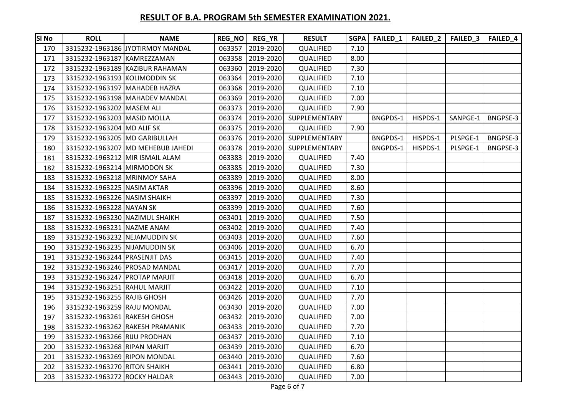| <b>SI No</b> | <b>ROLL</b>                     | <b>NAME</b>                       | REG_NO | <b>REG_YR</b> | <b>RESULT</b> | <b>SGPA</b> | FAILED_1 | FAILED <sub>2</sub> | FAILED <sub>3</sub> | <b>FAILED 4</b> |
|--------------|---------------------------------|-----------------------------------|--------|---------------|---------------|-------------|----------|---------------------|---------------------|-----------------|
| 170          |                                 | 3315232-1963186 JYOTIRMOY MANDAL  | 063357 | 2019-2020     | QUALIFIED     | 7.10        |          |                     |                     |                 |
| 171          | 3315232-1963187 KAMREZZAMAN     |                                   | 063358 | 2019-2020     | QUALIFIED     | 8.00        |          |                     |                     |                 |
| 172          |                                 | 3315232-1963189 KAZIBUR RAHAMAN   | 063360 | 2019-2020     | QUALIFIED     | 7.30        |          |                     |                     |                 |
| 173          | 3315232-1963193 KOLIMODDIN SK   |                                   | 063364 | 2019-2020     | QUALIFIED     | 7.10        |          |                     |                     |                 |
| 174          | 3315232-1963197 MAHADEB HAZRA   |                                   | 063368 | 2019-2020     | QUALIFIED     | 7.10        |          |                     |                     |                 |
| 175          |                                 | 3315232-1963198 MAHADEV MANDAL    | 063369 | 2019-2020     | QUALIFIED     | 7.00        |          |                     |                     |                 |
| 176          | 3315232-1963202 MASEM ALI       |                                   | 063373 | 2019-2020     | QUALIFIED     | 7.90        |          |                     |                     |                 |
| 177          | 3315232-1963203 MASID MOLLA     |                                   | 063374 | 2019-2020     | SUPPLEMENTARY |             | BNGPDS-1 | HISPDS-1            | SANPGE-1            | BNGPSE-3        |
| 178          | 3315232-1963204 MD ALIF SK      |                                   | 063375 | 2019-2020     | QUALIFIED     | 7.90        |          |                     |                     |                 |
| 179          | 3315232-1963205 MD GARIBULLAH   |                                   | 063376 | 2019-2020     | SUPPLEMENTARY |             | BNGPDS-1 | HISPDS-1            | PLSPGE-1            | BNGPSE-3        |
| 180          |                                 | 3315232-1963207 MD MEHEBUB JAHEDI | 063378 | 2019-2020     | SUPPLEMENTARY |             | BNGPDS-1 | HISPDS-1            | PLSPGE-1            | BNGPSE-3        |
| 181          | 3315232-1963212 MIR ISMAIL ALAM |                                   | 063383 | 2019-2020     | QUALIFIED     | 7.40        |          |                     |                     |                 |
| 182          | 3315232-1963214 MIRMODON SK     |                                   | 063385 | 2019-2020     | QUALIFIED     | 7.30        |          |                     |                     |                 |
| 183          | 3315232-1963218 MRINMOY SAHA    |                                   | 063389 | 2019-2020     | QUALIFIED     | 8.00        |          |                     |                     |                 |
| 184          | 3315232-1963225 NASIM AKTAR     |                                   | 063396 | 2019-2020     | QUALIFIED     | 8.60        |          |                     |                     |                 |
| 185          | 3315232-1963226 NASIM SHAIKH    |                                   | 063397 | 2019-2020     | QUALIFIED     | 7.30        |          |                     |                     |                 |
| 186          | 3315232-1963228 NAYAN SK        |                                   | 063399 | 2019-2020     | QUALIFIED     | 7.60        |          |                     |                     |                 |
| 187          | 3315232-1963230 NAZIMUL SHAIKH  |                                   | 063401 | 2019-2020     | QUALIFIED     | 7.50        |          |                     |                     |                 |
| 188          | 3315232-1963231 NAZME ANAM      |                                   | 063402 | 2019-2020     | QUALIFIED     | 7.40        |          |                     |                     |                 |
| 189          | 3315232-1963232 NEJAMUDDIN SK   |                                   | 063403 | 2019-2020     | QUALIFIED     | 7.60        |          |                     |                     |                 |
| 190          | 3315232-1963235 NIJAMUDDIN SK   |                                   | 063406 | 2019-2020     | QUALIFIED     | 6.70        |          |                     |                     |                 |
| 191          | 3315232-1963244 PRASENJIT DAS   |                                   | 063415 | 2019-2020     | QUALIFIED     | 7.40        |          |                     |                     |                 |
| 192          | 3315232-1963246 PROSAD MANDAL   |                                   | 063417 | 2019-2020     | QUALIFIED     | 7.70        |          |                     |                     |                 |
| 193          | 3315232-1963247 PROTAP MARJIT   |                                   | 063418 | 2019-2020     | QUALIFIED     | 6.70        |          |                     |                     |                 |
| 194          | 3315232-1963251 RAHUL MARJIT    |                                   | 063422 | 2019-2020     | QUALIFIED     | 7.10        |          |                     |                     |                 |
| 195          | 3315232-1963255 RAJIB GHOSH     |                                   | 063426 | 2019-2020     | QUALIFIED     | 7.70        |          |                     |                     |                 |
| 196          | 3315232-1963259 RAJU MONDAL     |                                   | 063430 | 2019-2020     | QUALIFIED     | 7.00        |          |                     |                     |                 |
| 197          | 3315232-1963261 RAKESH GHOSH    |                                   | 063432 | 2019-2020     | QUALIFIED     | 7.00        |          |                     |                     |                 |
| 198          |                                 | 3315232-1963262 RAKESH PRAMANIK   | 063433 | 2019-2020     | QUALIFIED     | 7.70        |          |                     |                     |                 |
| 199          | 3315232-1963266 RIJU PRODHAN    |                                   | 063437 | 2019-2020     | QUALIFIED     | 7.10        |          |                     |                     |                 |
| 200          | 3315232-1963268 RIPAN MARJIT    |                                   | 063439 | 2019-2020     | QUALIFIED     | 6.70        |          |                     |                     |                 |
| 201          | 3315232-1963269 RIPON MONDAL    |                                   | 063440 | 2019-2020     | QUALIFIED     | 7.60        |          |                     |                     |                 |
| 202          | 3315232-1963270 RITON SHAIKH    |                                   | 063441 | 2019-2020     | QUALIFIED     | 6.80        |          |                     |                     |                 |
| 203          | 3315232-1963272 ROCKY HALDAR    |                                   | 063443 | 2019-2020     | QUALIFIED     | 7.00        |          |                     |                     |                 |